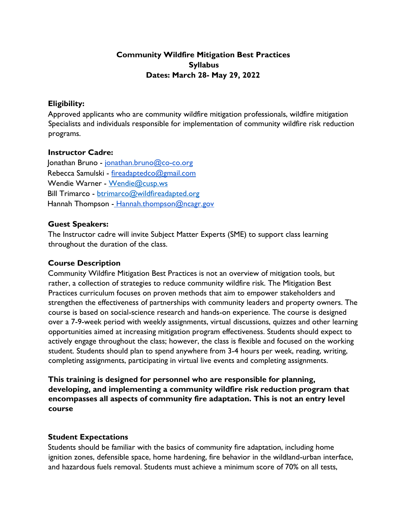# **Community Wildfire Mitigation Best Practices Syllabus Dates: March 28- May 29, 2022**

#### **Eligibility:**

Approved applicants who are community wildfire mitigation professionals, wildfire mitigation Specialists and individuals responsible for implementation of community wildfire risk reduction programs.

#### **Instructor Cadre:**

Jonathan Bruno - jonathan.bruno@co-co.org Rebecca Samulski - fireadaptedco@gmail.com Wendie Warner - [Wendie@cusp.ws](mailto:Wendie@cusp.ws) Bill Trimarco - [btrimarco@wildfireadapted.org](mailto:btrimarco@wildfireadapted.org) Hannah Thompson - Hannah.thompson@ncagr.gov

#### **Guest Speakers:**

The Instructor cadre will invite Subject Matter Experts (SME) to support class learning throughout the duration of the class.

#### **Course Description**

Community Wildfire Mitigation Best Practices is not an overview of mitigation tools, but rather, a collection of strategies to reduce community wildfire risk. The Mitigation Best Practices curriculum focuses on proven methods that aim to empower stakeholders and strengthen the effectiveness of partnerships with community leaders and property owners. The course is based on social-science research and hands-on experience. The course is designed over a 7-9-week period with weekly assignments, virtual discussions, quizzes and other learning opportunities aimed at increasing mitigation program effectiveness. Students should expect to actively engage throughout the class; however, the class is flexible and focused on the working student. Students should plan to spend anywhere from 3-4 hours per week, reading, writing, completing assignments, participating in virtual live events and completing assignments.

**This training is designed for personnel who are responsible for planning, developing, and implementing a community wildfire risk reduction program that encompasses all aspects of community fire adaptation. This is not an entry level course**

#### **Student Expectations**

Students should be familiar with the basics of community fire adaptation, including home ignition zones, defensible space, home hardening, fire behavior in the wildland-urban interface, and hazardous fuels removal. Students must achieve a minimum score of 70% on all tests,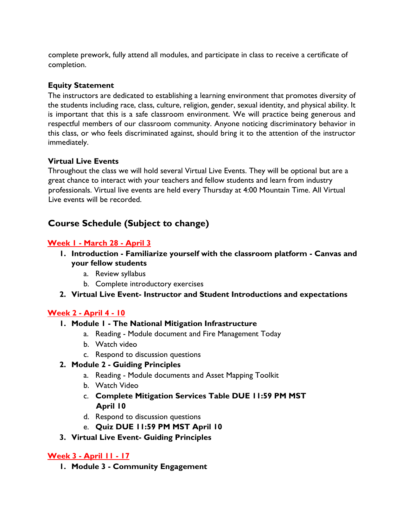complete prework, fully attend all modules, and participate in class to receive a certificate of completion.

### **Equity Statement**

The instructors are dedicated to establishing a learning environment that promotes diversity of the students including race, class, culture, religion, gender, sexual identity, and physical ability. It is important that this is a safe classroom environment. We will practice being generous and respectful members of our classroom community. Anyone noticing discriminatory behavior in this class, or who feels discriminated against, should bring it to the attention of the instructor immediately.

### **Virtual Live Events**

Throughout the class we will hold several Virtual Live Events. They will be optional but are a great chance to interact with your teachers and fellow students and learn from industry professionals. Virtual live events are held every Thursday at 4:00 Mountain Time. All Virtual Live events will be recorded.

# **Course Schedule (Subject to change)**

### **Week 1 - March 28 - April 3**

- **1. Introduction - Familiarize yourself with the classroom platform - Canvas and your fellow students**
	- a. Review syllabus
	- b. Complete introductory exercises
- **2. Virtual Live Event- Instructor and Student Introductions and expectations**

# **Week 2 - April 4 - 10**

#### **1. Module 1 - The National Mitigation Infrastructure**

- a. Reading Module document and Fire Management Today
- b. Watch video
- c. Respond to discussion questions

#### **2. Module 2 - Guiding Principles**

- a. Reading Module documents and Asset Mapping Toolkit
- b. Watch Video
- c. **Complete Mitigation Services Table DUE 11:59 PM MST April 10**
- d. Respond to discussion questions
- e. **Quiz DUE 11:59 PM MST April 10**
- **3. Virtual Live Event- Guiding Principles**

# **Week 3 - April 11 - 17**

**1. Module 3 - Community Engagement**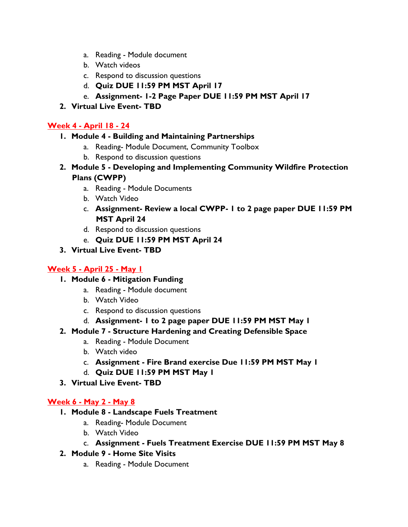- a. Reading Module document
- b. Watch videos
- c. Respond to discussion questions
- d. **Quiz DUE 11:59 PM MST April 17**
- e. **Assignment- 1-2 Page Paper DUE 11:59 PM MST April 17**
- **2. Virtual Live Event- TBD**

# **Week 4 - April 18 - 24**

# **1. Module 4 - Building and Maintaining Partnerships**

- a. Reading- Module Document, Community Toolbox
- b. Respond to discussion questions
- **2. Module 5 - Developing and Implementing Community Wildfire Protection Plans (CWPP)**
	- a. Reading Module Documents
	- b. Watch Video
	- c. **Assignment- Review a local CWPP- 1 to 2 page paper DUE 11:59 PM MST April 24**
	- d. Respond to discussion questions
	- e. **Quiz DUE 11:59 PM MST April 24**

### **3. Virtual Live Event- TBD**

# **Week 5 - April 25 - May 1**

- **1. Module 6 - Mitigation Funding**
	- a. Reading Module document
	- b. Watch Video
	- c. Respond to discussion questions
	- d. **Assignment- 1 to 2 page paper DUE 11:59 PM MST May 1**
- **2. Module 7 - Structure Hardening and Creating Defensible Space**
	- a. Reading Module Document
	- b. Watch video
	- c. **Assignment - Fire Brand exercise Due 11:59 PM MST May 1**
	- d. **Quiz DUE 11:59 PM MST May 1**
- **3. Virtual Live Event- TBD**

# **Week 6 - May 2 - May 8**

- **1. Module 8 - Landscape Fuels Treatment**
	- a. Reading- Module Document
	- b. Watch Video
	- c. **Assignment - Fuels Treatment Exercise DUE 11:59 PM MST May 8**
- **2. Module 9 - Home Site Visits**
	- a. Reading Module Document